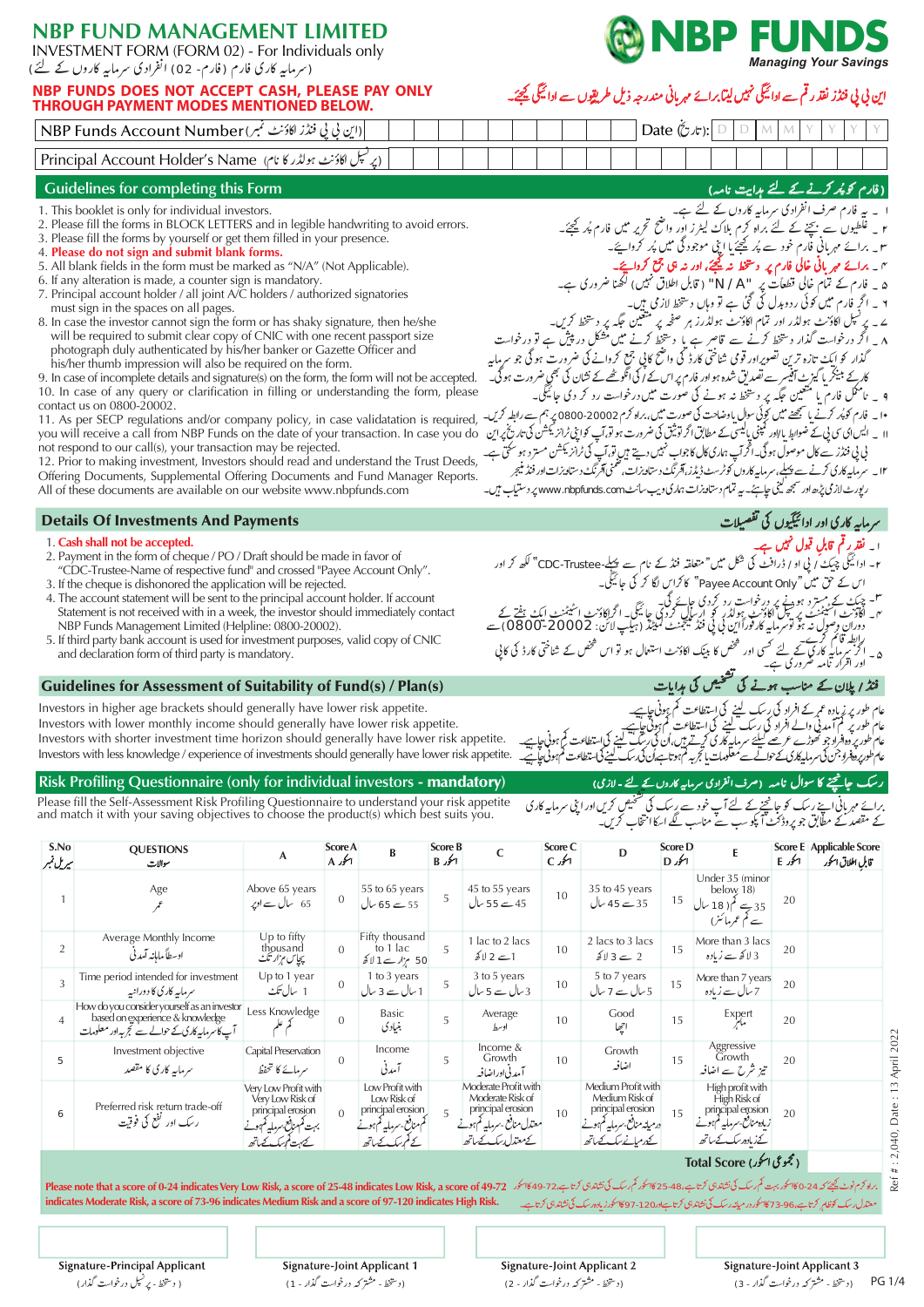## **NBP FUND MANAGEMENT LIMITED**

INVESTMENT FORM (FORM 02) - For Individuals only (سرمایہ کاری فارم (فارم- 02) انفرادی سرمایہ کاروں کے لئے)

## NBP FUNDS DOES NOT ACCEPT CASH, PLEASE PAY ONLY

# **BP FUND** این پی پی فنڈز نفڈ رقم سے ادائیگی نہیں لیتا برائے میر پانی مندرجہ ذیل طریقوں سے ادائیگی کچئے۔

ا ۔ یہ فارم صرف انفرادی سرمایہ کاروں نے لئے ہے۔<br>ا ۔ یہ فارم صرف انفرادی سرمایہ کاروں نے لئے ہے۔<br>۲ ۔ غلطیوں سے بچنے کے لئے براہ کرم بلاک لیفرز اور واضح تحریر میں فارم پُر کیجئے۔

ر۔<br>۳۔ برائے مہربانی فارم خود سے پُر کیجئےیا اپنی موجود گی میں پُر کروائیے۔

(فارم کوپُر کرنے کے لئے ہدایت نامہ)

| THROUGH PAYMENT MODES MENTIONED BELOW.                        |  |  |  |  |                     |  |  |  |  |
|---------------------------------------------------------------|--|--|--|--|---------------------|--|--|--|--|
| إن في في فندَّز لكاؤنٹ تمبر/ NBP Funds Account Number         |  |  |  |  | $Date (\forall x):$ |  |  |  |  |
| پہ کتیل لکاؤنٹ ہولڈر کا نام)  Principal Account Holder's Name |  |  |  |  |                     |  |  |  |  |

## **Guidelines for completing this Form**

- 1. This booklet is only for individual investors.
- 2. Please fill the forms in BLOCK LETTERS and in legible handwriting to avoid errors.
- 3. Please fill the forms by yourself or get them filled in your presence.
- 4. Please do not sign and submit blank forms. 5. All blank fields in the form must be marked as "N/A" (Not Applicable).
- 6. If any alteration is made, a counter sign is mandatory.
- 7. Principal account holder / all joint A/C holders / authorized signatories
- must sign in the spaces on all pages. 8. In case the investor cannot sign the form or has shaky signature, then he/she will be required to submit clear copy of CNIC with one recent passport size photograph duly authenticated by his/her banker or Gazette Officer and his/her thumb impression will also be required on the form.

9. In case of incomplete details and signature(s) on the form, the form will not be accepted. 10. In case of any query or clarification in filling or understanding the form, please

وکے کا کسی کو بند کر سے شد کے سے سے سے مسلسلہ کر کیا ہے۔<br>•ایہ فارم کو پر کرنے یا شخصے میں کوئی سول یادھات کی صورت میں براہ کر کہ جا میں دہلو کر کرنے یا شخصے میں کوئی س<br>•ایہ فارم کو پر کرنے یا شخصے میں کوئی سول اور استعمال ۱۰۔ اور اور کرکے یا کہ ساب سے مسلسلہ کی سالہ سے مسلسل دیکھ کہ ہے ۔ I . As per SECF regulations and/or company policy, in case validatation is required, کے اس کس کا مسلسل کا کہ اور قبلی پالیسی کے مطابق اگر اور شینی پالیسی not respond to our call(s), your transaction may be rejected.

12. Prior to making investment, Investors should read and understand the Trust Deeds, Offering Documents, Supplemental Offering Documents and Fund Manager Reports. All of these documents are available on our website www.nbpfunds.com

### **Details Of Investments And Payments**

#### 1. Cash shall not be accepted.

- 2. Payment in the form of cheque / PO / Draft should be made in favor of
- "CDC-Trustee-Name of respective fund" and crossed "Payee Account Only".
- 3. If the cheque is dishonored the application will be rejected.
- 4. The account statement will be sent to the principal account holder. If account Statement is not received with in a week, the investor should immediately contact NBP Funds Management Limited (Helpline: 0800-20002).
- 5. If third party bank account is used for investment purposes, valid copy of CNIC and declaration form of third party is mandatory.

#### **Guidelines for Assessment of Suitability of Fund(s) / Plan(s)**

Investors in higher age brackets should generally have lower risk appetite. Investors with lower monthly income should generally have lower risk appetite. Investors with shorter investment time horizon should generally have lower risk appetite. Investors with less knowledge / experience of investments should generally have lower risk appetite.

## Risk Profiling Questionnaire (only for individual investors - mandatory)

Please fill the Self-Assessment Risk Profiling Questionnaire to understand your risk appetite and match it with your saving objectives to choose the product(s) which best suits you.

ا **ـ نقد رقم قابلِ قبول مُبیں ہے۔**<br>۲۔ ادائیگی چیک / پی او / ڈرانٹ کی شکل میں"متعلقہ فنڈ کے نام سے پہلے-CDC-Trustee" لکھ کر اور<br>اس کے حق میں "Payee Account Only "کراس لگا کر کی جائیگی۔

ں تی فنڈز سے کال موصول ہو گی۔اٹحراب ہماری کال کاجواب تہیں دیتے ہیں تو آپ کی ٹرانز <sup>یکشن</sup> مستر د ہو سکتی ہے۔

۔<br>رپورٹ لازمی بڑھ اور سنجھ لینی جائیے۔ یہ تمام دستاویزات ہماری ویب سائٹ www.nbpfunds.com پر دستیاب ہیں۔

بہ پہ ہے کہ کے سطاق کے ساتھ کے بارے میں بہت سیاست کے ساتھ ہیں ہے۔<br>۱۲۔ سرمالیہ کارکی کرنے سے پہلے سرمالیہ کاروں کو ٹرسٹ ڈیڈز،آفرنگٹ دستاوہزات، تھمنی آفرنگٹ دستاوہزات اور فنڈ منیجر

سا ۔ برائے مہربانی قارم خود سے ہر میشے یا ای موجود کی میں بگر کرواہیئے۔<br>۴۔ برائے مہر با**ئی خالی فارم پر دستخط نہ کیلجئے، اور نہ ہی جیم کرواہیئے**۔<br>۵۔ فارم سے قبل کی خا**لی فارم پر دستخط نہ کیلجئے، اور نہ ہی جیم کرواہیئے۔**<br>۷

۹ یہ نامکل فارم یا مُتعین جگہ پر دینتھ نہ ہونے کی صورت میں درخواست رد کر دی جائیگی۔

سرمایہ کاری اور ادائیگیوں کی تفصیلات

مسن نے کسی کسی کا ایہا اسکان کا اسکان کا اسکان کا کہ کہ کسی کھیل ہے کہ کسی کسی کے ساتھ کیا گیا۔<br>سماجہ چیکٹ کے مسترد ہونے پر درخواست رد کردی جائے گی۔<br>سماجہ افاؤرٹ اسٹیٹمنٹ پر کہل اکاؤرٹ ہولاز کو ارسال کردی جائیگی۔ اگراکاؤر رآبطہ قائم کرتے۔<br>اگر سرمایہ کاری کے لئے کئی اور کھخض کا بینک اکاؤنٹ استعال ہو تو اس کھخض کے شاختی کارڈ کی کاپی<br>اور افرار نامہ ضروری ہے۔

## فنڈ / پلان کے مناسب ہونے کی کشخیص کی ہدایات

لینے کی استطاعت طور پر زیادہ عمر کے افراد کی رسک لینے کی استطاعت کم ہ<br>طور پر کم آمد پی والے افراد کی رسک لینے کی استطاعت <sup>ک</sup>

رسک جامجینے کا سوال نامہ (صرف انفرادی سرمایہ کاروں کے لئے - لازمی)

برائے مہربانی آپنے رسک کو جانچنے کے لئے آپ خود سے رسک کی تشخیص کریں اور اپنی سرمایہ کاری<br>کے مقصد کے مطابق جو پروڈ کٹ آ کپکو سب سے مناسب لگے اسکا انتخاب کریں۔

| S.No<br>يريى نبر | <b>QUESTIONS</b><br>سوالات                                                                                                        | $\overline{A}$                                                | Score A<br>استحور A | $\mathbf{B}$                                            | <b>Score B</b><br>استجور B | $\mathsf{C}$                                                                                                | Score C<br>الحمد C | D                                                                                | <b>Score D</b><br>اکور D | E                                                                                                              | استحور E | <b>Score E Applicable Score</b><br>قابل اطلاق اسكور |
|------------------|-----------------------------------------------------------------------------------------------------------------------------------|---------------------------------------------------------------|---------------------|---------------------------------------------------------|----------------------------|-------------------------------------------------------------------------------------------------------------|--------------------|----------------------------------------------------------------------------------|--------------------------|----------------------------------------------------------------------------------------------------------------|----------|-----------------------------------------------------|
|                  | Age                                                                                                                               | Above 65 years<br>65 سال سے اوپر                              | $\Omega$            | 55 to 65 years<br>55 سے 65 سال                          | 5                          | 45 to 55 years<br>45 سے 55 سال                                                                              | 10                 | 35 to 45 years<br>35 سے 45 سال                                                   | 15                       | Under 35 (minor<br>below 18)<br>$U$ رہے کم( 18 سال<br>سے کم عمرمائنر)                                          | 20       |                                                     |
| $\overline{2}$   | Average Monthly Income<br>ادسطاً مامانه آمدنی                                                                                     | Up to fifty<br>thousand<br>پچایں ہزار تکٹ                     | $\Omega$            | Fifty thousand<br>to 1 lac<br>50 م <u>زار ہے 1</u> لاکھ | 5                          | 1 lac to 2 lacs<br>1سے 2 لاکھ                                                                               | 10                 | 2 lacs to 3 lacs<br>$\approx 3$ $\approx 2$                                      | 15                       | More than 3 lacs<br>3 لاکھ سے زیادہ                                                                            | 20       |                                                     |
|                  | Time period intended for investment<br>سرمایه کاری کا دورانیه                                                                     | Up to 1 year<br>1 سال تگٹ                                     | $\Omega$            | 1 to 3 years<br>1 سال سے 3 سال                          | 5                          | 3 to 5 years<br>3 سال سے 5 سال                                                                              | 10                 | 5 to 7 years<br>5 سال سے 7 سال                                                   | 15                       | More than 7 years<br>7 سال سے زیادہ                                                                            | 20       |                                                     |
| $\overline{4}$   | How do you consider yourself as an investor<br>based on experience & knowledge<br>آپ کاسر ماہیرکارک کے حوالے سے تجربہ اور معلومات | Less Knowledge                                                | $\theta$            | Basic<br>بنيادي                                         | 5                          | Average<br>اوسط                                                                                             | 10                 | Good<br>اجيما                                                                    | 15                       | $\mathsf{Expert}$                                                                                              | 20       |                                                     |
| 5                | Investment objective<br>سرمایہ کاری کا مقصد                                                                                       | Capital Preservation<br>سرمائے کا تحفظ                        | $\Omega$            | Income<br>آمدنی                                         | 5                          | Income $&$<br>Growth<br>آمدنیاوراضافه                                                                       | 10                 | Growth<br>اضافيه                                                                 | 15                       | Aggressive<br>Growth<br>تیز شرح سے اضافہ                                                                       | 20       |                                                     |
| 6                | Preferred risk return trade-off<br>رسک اور نفع کی فوقیت                                                                           | Very Low Profit with<br>Very Low Risk of<br>principal erosion | $\Omega$            | Low Profit with<br>Low Risk of<br>principal erosion     | 5                          | Moderate Profit with<br>Moderate Risk of<br>principal erosion<br>معتدل منافع يبرمله<br>كےمعتدلہ رسک کے ساتھ | 10                 | Medium Profit with<br>Medium Risk of<br>principal erosion<br>كےدمہانے سک کے ہاتھ | 15                       | High profit with<br>High Risk of<br>principal erosion<br>زياده منافع يسرمايه كم<br><u> 2زمادہ سائٹ کے ساتھ</u> | 20       |                                                     |

#### (مجموعی اسکور) Total Score

براه كرم نوٹ کیجے كہ 24-0 كان كى شائدى كرتا ہے، 24-25 كانسكور كم رسك فى نشاندى كرتا ہے، 17-49 Please note that a score of 0-24 indicates Very Low Risk, a score of 25-48 indicates Low Risk, a score of 49-72 كاسكى تشاندى كر indicates Moderate Risk, a score of 73-96 indicates Medium Risk and a score of 97-120 indicates High Risk. ىعتدل رسك كۇظام كرتاہے،96-73 كاسكور در میانہ رسك كى نشاندہى كرتاہےاور120-97 كاسكورز یادەرسك كى نشاندہى كرتاہے۔

**Signature-Principal Applicant** ( دیتخط - پر نسل درخواست گذار)

**Signature-Joint Applicant 1** (دیتخط - مشترکه درخواست گذار - 1)

**Signature-Joint Applicant 2** (دستخط - مشتر که درخواست گذار - 2)

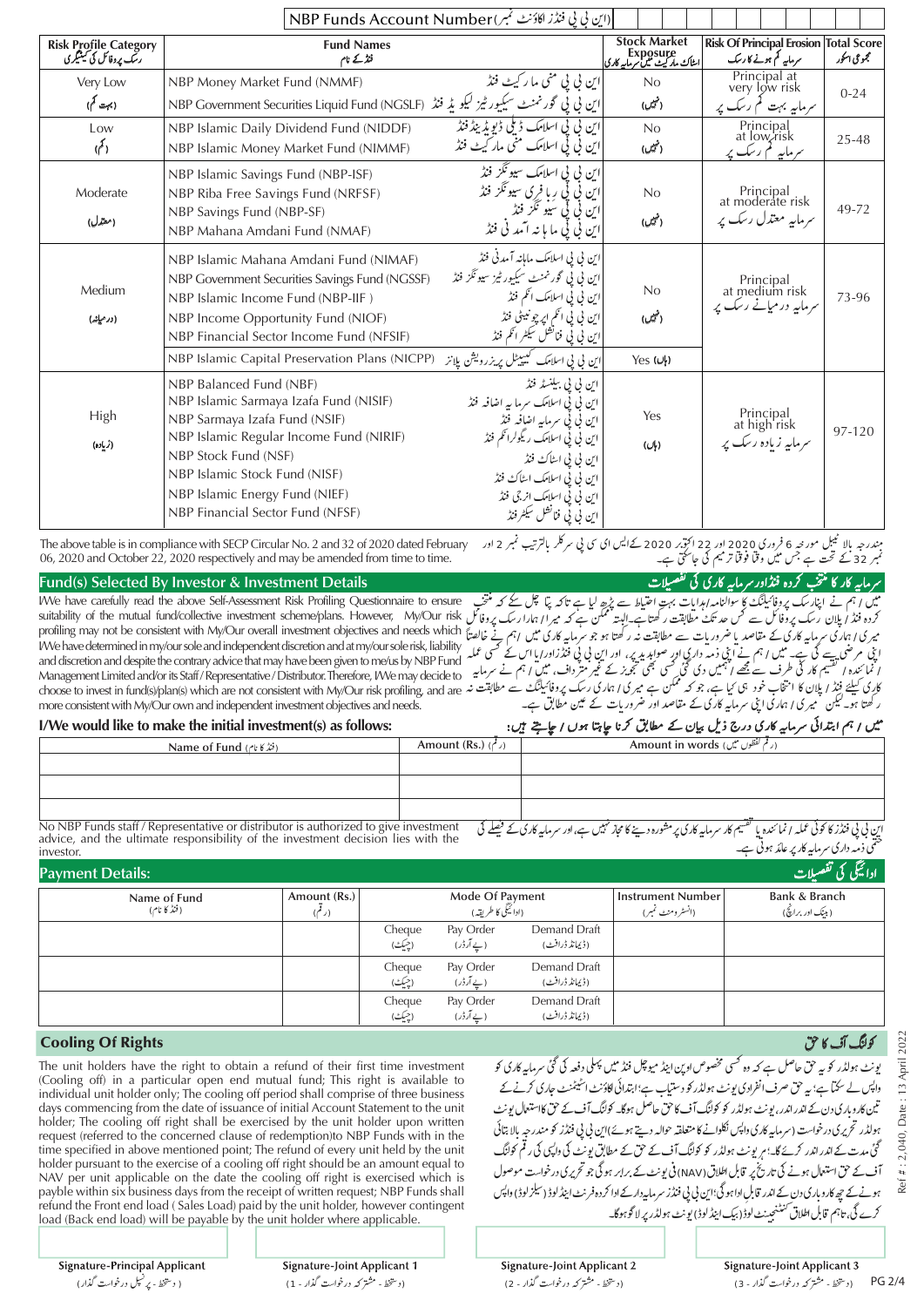|                                                | (این ٹی ٹی فنڈز اکاؤنٹ نمبر/ NBP Funds Account Number                                                                                                                                                                                                                        |                                                                                                                                                                                                                                               |                                                              |                                                                 |              |
|------------------------------------------------|------------------------------------------------------------------------------------------------------------------------------------------------------------------------------------------------------------------------------------------------------------------------------|-----------------------------------------------------------------------------------------------------------------------------------------------------------------------------------------------------------------------------------------------|--------------------------------------------------------------|-----------------------------------------------------------------|--------------|
| Risk Profile Category<br>دسک پروفائل کی کیشیری | <b>Fund Names</b><br>فڈکے نام                                                                                                                                                                                                                                                |                                                                                                                                                                                                                                               | <b>Stock Market</b><br> <br>  اسٹاکٹ مارکیٹ جیمل سرمایہ کاری | Risk Of Principal Erosion Total Score<br>سرمانیہ کم ہونے کا رسک | مجموعی اسکور |
| Very Low                                       | NBP Money Market Fund (NMMF)                                                                                                                                                                                                                                                 | این ٹی پی منی ما رکیٹ فنڈ                                                                                                                                                                                                                     | No                                                           | Principal at<br>very low risk                                   | $0 - 24$     |
| (بہت کم)                                       | این ٹی ٹی گور نمنٹ سیکیور ٹیز لیکو یڈ فنڈ (NGSLF) NBP Government Securities Liquid Fund                                                                                                                                                                                      |                                                                                                                                                                                                                                               | (مُیں)                                                       | سرمائیہ بہت                                                     |              |
| Low<br>(کم)                                    | NBP Islamic Daily Dividend Fund (NIDDF)<br>NBP Islamic Money Market Fund (NIMMF)                                                                                                                                                                                             | <u>این کی کی اسلامک ڈیلی ڈیو یڈینڈ فنڈ</u><br>این ٹی ٹی اسلامک منی مار کیٹ فنڈ                                                                                                                                                                | No<br>(کتیں)                                                 | Principal<br>at low <sub>risk</sub><br>ِ ماسہ                   | 25-48        |
| Moderate<br>(مىتدل)                            | NBP Islamic Savings Fund (NBP-ISF)<br>NBP Riba Free Savings Fund (NRFSF)<br>NBP Savings Fund (NBP-SF)<br>NBP Mahana Amdani Fund (NMAF)                                                                                                                                       | این ٹی پی اسلامک سیونگز فنڈ<br>این نی تی رِ با فری سیونگز فنڈ<br>این نی تی سیو نگز فنڈ<br>اين ئي ئي ما ہا نہ اتمد ئي فنڈ                                                                                                                      | No<br>(کتیں)                                                 | Principal<br>at moderate risk<br>سرمایہ معتدل رسک پر            | 49-72        |
| Medium<br>(درمیانه)                            | NBP Islamic Mahana Amdani Fund (NIMAF)<br>NBP Government Securities Savings Fund (NGSSF)<br>NBP Islamic Income Fund (NBP-IIF)<br>NBP Income Opportunity Fund (NIOF)<br>NBP Financial Sector Income Fund (NFSIF)                                                              | این ٹی پی اسلامک ماہانہ آمدنی فنڈ<br>این نی پی گورنمنٹ سیکیورٹیز سیونگز فنڈ<br>این ٹی نی اسلامک انکم فنڈ<br>اين ئې ئي انگم اپر چونتينی فنڈ<br><sup> </sup> اين ني ني فنانشل سيڪر ائم فنڈ                                                      | No<br>(میں)                                                  | Principal<br>at medium risk<br>سرماہہ درمیانے رسک پر            | 73-96        |
|                                                | NBP Islamic Capital Preservation Plans (NICPP)                                                                                                                                                                                                                               | این نبی یی اسلامک گیبییٹل <i>پریز</i> رویشن پلانز                                                                                                                                                                                             | Yes $(\psi)$                                                 |                                                                 |              |
| High<br>(زیادہ)                                | NBP Balanced Fund (NBF)<br>NBP Islamic Sarmaya Izafa Fund (NISIF)<br>NBP Sarmaya Izafa Fund (NSIF)<br>NBP Islamic Regular Income Fund (NIRIF)<br>NBP Stock Fund (NSF)<br>NBP Islamic Stock Fund (NISF)<br>NBP Islamic Energy Fund (NIEF)<br>NBP Financial Sector Fund (NFSF) | این ٹی پی بیلنسڈ فنڈ<br>این ٹی ٹی اسلامک سرما یہ اضافہ فنڈ<br>این کی کی سرمایہ اضافہ فنڈ<br>این نبی ني اسلامک ريگولرا نکم فنڈ<br>این ٹی پی اسٹاک فنڈ<br>این ٹی نی اسلامک اسٹاک فنڈ<br>این ٹی پی اسلامک انرجی فنڈ<br>اين ني ٽي فنانشل سکٹر فنڈ | Yes<br>$(\cup \downarrow)$                                   | Principal<br>at high risk<br>سرمایه زیاده رسک پر                | 97-120       |

مندرجہ بالا ٹیبل مور نہ 2020 اور 22 اکتربر 2020 کےالیں ای سی کی سر کلر بالترتیب نمبر 2 اور The above table is in compliance with SECP Circular No. 2 and 32 of 2020 dated February<br>نمبر 32 کے تحت ہے جس میں وقا فوقا ترمیم کی

Fund(s) Selected By Investor & Investment Details

سرمایه کار کا مُتَحَب کردہ فنڈاور سرمایہ کاری کی تفصیلات مسلما و استخلاص استخلاص استخلاص استخلاص المسلم المسلم المسلم المسلم المسلم المسلم المسلم المسلم المسلم المسلم المسلم المسلم المسلم المسلم المسلم المسلم المسلم المسلم المسلم المسلم المسلم المسلم المسلم المسلم المسلم المسل

#### I/We would like to make the initial investment(s) as follows:

میں رہم ابتدائی سرمایہ کاری درج ذیل بیان کے مطابق کرنا جاہتا ہوں رجا جے ہیں:

|                                                                                                                                                                                                                               |                          | $\mathcal{L} = \{ \mathcal{L} \mathcal{L} \mathcal{L} \mathcal{L} \mathcal{L} \mathcal{L} \mathcal{L} \mathcal{L} \mathcal{L} \mathcal{L} \mathcal{L} \mathcal{L} \mathcal{L} \mathcal{L} \mathcal{L} \mathcal{L} \mathcal{L} \mathcal{L} \mathcal{L} \mathcal{L} \mathcal{L} \mathcal{L} \mathcal{L} \mathcal{L} \mathcal{L} \mathcal{L} \mathcal{L} \mathcal{L} \mathcal{L} \mathcal{L} \mathcal{L} \mathcal{L} \mathcal{L} \mathcal{L} \mathcal{L} \$ |
|-------------------------------------------------------------------------------------------------------------------------------------------------------------------------------------------------------------------------------|--------------------------|----------------------------------------------------------------------------------------------------------------------------------------------------------------------------------------------------------------------------------------------------------------------------------------------------------------------------------------------------------------------------------------------------------------------------------------------------------|
| Name of Fund (انٹرکا نام)                                                                                                                                                                                                     | Amount (Rs.) $(\lambda)$ | Amount in words (رقم لفظوں میں)                                                                                                                                                                                                                                                                                                                                                                                                                          |
|                                                                                                                                                                                                                               |                          |                                                                                                                                                                                                                                                                                                                                                                                                                                                          |
|                                                                                                                                                                                                                               |                          |                                                                                                                                                                                                                                                                                                                                                                                                                                                          |
|                                                                                                                                                                                                                               |                          |                                                                                                                                                                                                                                                                                                                                                                                                                                                          |
|                                                                                                                                                                                                                               |                          |                                                                                                                                                                                                                                                                                                                                                                                                                                                          |
| At Albert L. Mile and and the Property of the Contract of the Contract of the Contract of the Contract of the Contract of the Contract of the Contract of the Contract of the Contract of the Contract of the Contract of the |                          | .                                                                                                                                                                                                                                                                                                                                                                                                                                                        |

No NBP Funds staff / Representative or distributor is authorized to give investment advice, and the ultimate responsibility of the investment decision lies with the investor

کولنگ آف کا حق

#:2,040, Date: 13 April 2022

Ref

|                              |                      |                  |                                       |                                |                                               | ----                              |
|------------------------------|----------------------|------------------|---------------------------------------|--------------------------------|-----------------------------------------------|-----------------------------------|
| Name of Fund<br>(فنڈ کا نام) | Amount (Rs.)<br>- 71 |                  | Mode Of Payment<br>(ادائيكي كا طريقه) |                                | <b>Instrument Number</b><br>(انسٹر ومنٹ تمبر) | Bank & Branch<br>(بېنک اور برانچ) |
|                              |                      | Cheaue<br>(چیکٹ) | Pay Order<br>(بے آرڈر)                | Demand Draft<br>(ڈیمانڈ ڈرافٹ) |                                               |                                   |
|                              |                      | Cheaue<br>(چیک)  | Pav Order<br>(بے آرڈر)                | Demand Draft<br>(ڈیمانڈ ڈرافٹ) |                                               |                                   |
|                              |                      | Cheaue<br>(چیک)  | Pay Order<br>(بے آرڈر)                | Demand Draft<br>(ڈیمانڈ ڈرافٹ) |                                               |                                   |

### **Cooling Of Rights**

**Payment Details:** 

The unit holders have the right to obtain a refund of their first time investment (Cooling off) in a particular open end mutual fund; This right is available to individual unit holder only; The cooling off period shall comprise of three business days commencing from the date of issuance of initial Account Statement to the unit holder; The cooling off right shall be exercised by the unit holder upon written request (referred to the concerned clause of redemption) to NBP Funds with in the time specified in above mentioned point; The refund of every unit held by the unit holder pursuant to the exercise of a cooling off right should be an amount equal to NAV per unit applicable on the date the cooling off right is exercised which is payble within six business days from the receipt of written request; NBP Funds shall refund the Front end load (Sales Load) paid by the unit holder, however contingent load (Back end load) will be payable by the unit holder where applicable.

## یونٹ ہولڈر کو بہ حق حاصل ہے کہ وہ <sup>کس</sup>ی مخصوص اوین اینڈ میوچل فنڈ میں پہلی دفعہ کی گئی سرمایہ کاری کو واپس لے سکتا ہے؛ یہ حق صرف انفرادی یونٹ ہولڈر کو دستیاب ہے؛ابتدائی لکاؤنٹ اسٹیٹمنٹ جاری کرنے کے .<br>تین کاروباری دن کے اندر اندر، یونٹ ہولڈر کو کولنگ آف کا حق حاصل ہوگا۔ کولنگ آف کے حق کااستعمال یونٹ مس مدربات تات مسیحت میں ہے۔<br>ہولڈر تحریری درخواست (سرمایہ کاری واپس نکلوانے کا متعلقہ حوالہ دیتے ہوئے)این بی بی فنڈز کو مندرجہ بالا بتائی گئی مدت کے اندر اندر کرئے گا۔' ہر یونٹ ہولڈر کو کولنگ آف کے حق کے مطابق یونٹ کی داپسی کی رقم کولنگ ۔<br>آف کے حق استعال ہونے کی تاریخ پر قابل اطلاق(NAV) فی یونٹ کے برابر ہو گی جو تحریری درخواست موصول ہونے کے چھ کاروباری دن کے اندر قابل ادا ہو گی؛این پی پی فنڈز سر مابیہ دارکے ادا کر دہ فرنٹ ابیڈ لوڈ (سیلز لوڈ) واپس ر ۔<br>کرے گی، تاہم قابل اطلاق سنسنجینٹ لوڈ(بیک اینڈلوڈ) یونٹ ہولڈر پر لا گوہوگا۔

**Signature-Principal Applicant** ( دستخط - پرنسل درخواست گذار)

**Signature-Joint Applicant 1** (دیتخط - مشترکه درخواست گذار - 1)

**Signature-Joint Applicant 2** (دیتخط - مشتر که درخواست گذار - 2)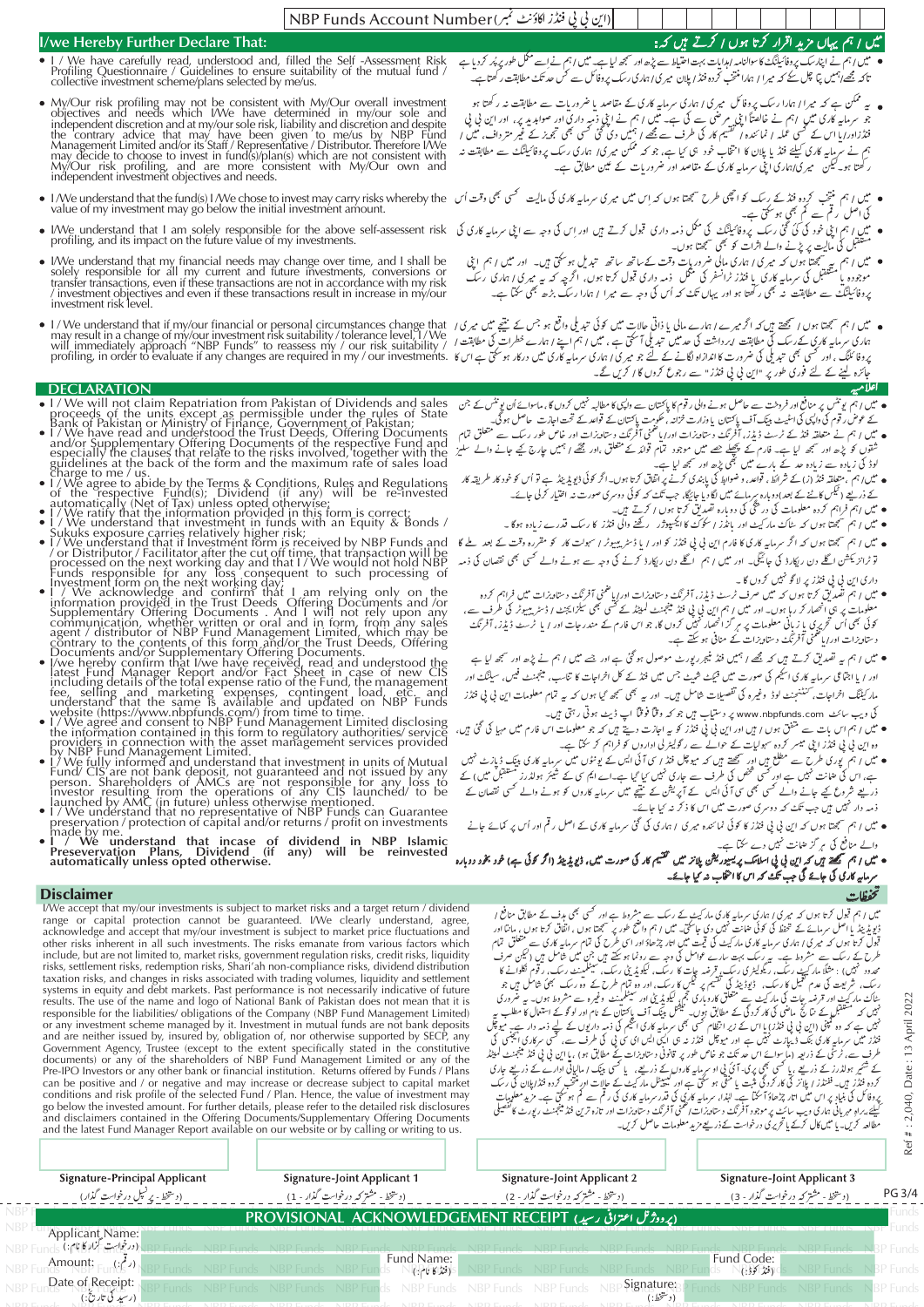#### (اين ني في فنڈز اکاؤنٹ نمبر/ NBP Funds Account Number

## ں ا ہم یہاں مزید اقرار کرتا ہوں ا کرتے ہیں کہ:

- I/we Hereby Further Declare That:
- I / We have carefully read, understood and, filled the Self -Assessment Risk Profiling Questionnaire / Guidelines to ensure suitability of the mutual fund / collective investment scheme/plans selected by me/us.
- My/Our risk profiling may not be consistent with My/Our overall investment objectives and needs which I/We have determined in my/our sole and independent discretion and at my/our sole risk, liability and discretion and des
- 
- 
- *W*e understand that my financial needs may change over time, and I shall be solely responsible for all my current and future investments, conversions or transfer transactions, even if these transactions are not in accor investment risk level.
- 

#### **DECLARATION**

- 
- 
- 
- 
- 
- 
- 
- **DICENTION**<br>
1) **CONVENTION**<br>
1) **CONVENTION**<br>
1) **CONVENTION**<br>
1) **CONVENTION**<br>
1) **CONVENTION**<br>
1) **CONVENTION**<br>
1) **EVALUATION**<br>
1) **CONVENTION**<br>
1) **CONVENTION**<br>
1) **CONVENTION**<br> **CONVENTION**<br> **CONVENTION**<br> **CONVENTIO**
- 
- 
- 
- 
- 

#### **Disclaimer**

TWe accept that my/our investments is subject to market risks and a target return / dividend range or capital protection cannot be guaranteed. I/We clearly understand, agree, acknowledge and accept that my/our investment is subject to market price fluctuations and action of the risks inherent in all such investments. The risks emanate from various factors which<br>include, but are not limited to, market risks, government regulation risks, credit risks, liquidity<br>risks, settlement risks Exaction risks, and changes in risks associated with trading volumes, liquidity and settlement<br>systems in equity and debt markets. Past performance is not necessarily indicative of future<br>results. The use of the name and l results. The use of the hallilities/ obligations of the Company (NBP Fund Management Limited) or any investment scheme managed by it. Investment in mutual funds are not bank deposits or any investment scheme managed by it. can be positive and / or negative and may increase or decrease subject to capital market<br>conditions and risk profile of the selected Fund / Plan. Hence, the value of investment may go below the invested amount. For further details, please refer to the detailed risk disclosures go between the interested in the Offering Documents/Supplementary Offering Documents<br>and disclaimers contained in the Offering Documents/Supplementary Offering Documents<br>and the latest Fund Manager Report available on our

- مقالعہ کریں۔ یا میں کال کرنے یا تحریری درخواست کے ذریعے مزید معلومات حاصل کریں۔ Signature-Joint Applicant 3 **Signature-Principal Applicant Signature-Joint Applicant 1 Signature-Joint Applicant 2** PG 3/4 (دینخط - پر کسل درخواست گذار)<br>. (دیتخط- مشتر که درخواست گذار - 1) (دستخط - مشترکه درخواست گذار - 3) (دستخط - مشتر که درخواست گذار - 2) (پرووژگل اعترائی رسید) PROVISIONAL ACKNOWLEDGEMENT RECEIPT Applicant Name:
- (درخواست گزار کا نام : ) Fund Name: Fund Code: Amount:  $(i_2)$ (فنڈ کا نام:) (فنڈ کوڈ:) Date of Receipt: NBP Funds NBP Funds NBP Signature (رسید کی تاریخ:) (وستخطه:)
- 
- پہ ممکن ہے کہ میرا ا ہمارا رسک پروفائل میری ا ہماری سرمایہ کاری کے مقاصد یا ضروریات سے مطابقت نہ رکھتا ہو ہیں کہ کسی مسلم کر ایک دوسرے کی ایک انگلاس کر میں انگلاس کے مطالب سے مشرک کے دوسرے کے ایک دوسرے کر رہا ہے کہ ا<br>جو 'مرمایہ کاری میں اہم نے خالصتاً اپنی مر صنی سے کی ہے۔ میں اہم نے اپنی ذمہ داری اور صوابد ید پر، اور این کی ر کھتا ہو۔ کیکن میری،ہماری آبی سرمایہ کاری کے مقاصد اور خروریات کے عین مطابق ہے۔
- 
- میں اہم منتخب کردہ فنڈ کے رسک کو اچھی طرح سمجھتا ہوں کہ اِس میں میری سرمایہ کاری کا مالیت تحت کہ بھی وقت اُس ہے اور اس میں میری سرمایہ کاری کی مالیت تحت کہ بھی وقت اُس کے الکھ اُس العام العام العام العام العام العام ال
	- میں آپ سے پہنچھتا ہوں کہ میری / ہماری مالی ضروریات وقت کےساتھ ساتھ تبدیل ہو سکتی ہیں۔ اور میں / ہم اپنی<br>● میں / ہم یہ سینچھتا ہوں کہ میری / ہماری مالی ضروریات وقت کےساتھ ساتھ تبدیل، اگرچہ کہ یہ میری / ہماری رسک<br>پروفائی
- ه میں اسم سمجھتا ہوں اسمیتھتے ہیں کہ اگر میرے ا ہلاے والی اسماع کا ایک ایک علاقے میں میری / We understand that if my/our financial or personal circumstances change that الصحیح کی تبدیلی واقع ہو جس کے نتیجے میں میر کی اسم جائزہ لینے کے لئے فوری طور پر "این نی پی فنڈز" سے رجوع کروں گا *ا کریں گے۔* 
	- میں ا ہم یونٹس پر منافع اور فروخت سے حاصل ہونے والی رقوم کا پاکتتان سے واپسی کا مطالبہ نہیں کروں گا ، ماسوائے اُن یونٹس کے جن
	- تیں/اہم کیو مس پر مناح اور فردشت سے حاصل ہونے واق رقوم کا پاکشتان سے واپدنی کا مطالبہ تیں کروں کا ، ماسوات ان تو سس نے بن<br>۔ میں انہم کیو توم کی واپسی فی اسٹیڈ بینک آف پاکستان یا وزارت خزانہ، عکومت پاکستان کے قواعد کے ت
	- -
		- میں <sub>ا</sub> ہم سمجھتا ہوں کہ سٹاک مار کیٹ اور بانڈز *ا سکو*گ کا ایکسپوژر رکھنے والی فنڈز کا رسک قدرے زیادہ ہوگا ۔
	- میں اہم شمجھتا ہوں کہ اگر سرمایہ کاری کا فارم این نی پی فنڈز کو اور ایا ڈسٹریبیوٹر اسہولت کار کو مقررہ وقت کے بعد ملے گا تو ٹرانز یکشن اگلے دن ریکارڈ کی جائیگی۔ اور میں ا ہم اگلے دن ریکارڈ کرنے کی وجہ سے ہونے والے کسی بھی نقصان کی ذمہ داری این نې پې فنڈز پر لاگو نہیں کروں گا۔
	- ہ میں ریپ پ پی سہ پہ رہ سیں ررس ن ۔<br>● میں اہم تصدیق کرتا ہوں کہ میں صرف ٹرسٹ ڈیڈز، آفرنگ دستاویزات اور اعظمتی آفرنگ دستاویزات میں فراہم کردہ<br>معلومات پر ہی اخصار کر رہا ہوں۔ اور میں اہم این ٹی پی فئڈ مینجمنٹ کمیٹنڈ کے تھی دستاویزات اورا یا تفتمنی آفرنگ دستاویزات کے منافی ہو سکتے .
	- میں <sub>ا</sub> ہم <sub>سے</sub> تصدیق کرتے ہیں کہ مجھے ا ہمیں فنڈ منیجررپورٹ موصول ہو گئی ہے اور جسے میں ا ہم نے پڑھ اور سمجھ لیا ہے اور / یا اجتماعی سرمایہ کاری اسکیم کی صورت میں فیکٹ شیٹ جس میں فنڈ کے کل اخراجات کا تناسب، مینجنٹ فیس، سیلنگ اور مار کینگ اخراجات، سمنٹ جنٹ لوڈ وغیرہ کی تفصیلات شامل ہیں۔ اور یہ بھی سمجھ گیا ہوں کہ یہ تمام معلومات این ٹی ٹي فنڈز
		- کی ویب سائٹ www.nbpfunds.com پر دستیاب ہیں جو کہ وقتاً فوقتاً اپ ڈیٹ ہوتی رہتی ہیں۔
	- میں <sub>ا</sub> ہم اس بات سے متفق ہوں *ا* ہیں اور این ٹی ٹی فنڈز کو یہ اجازت دیتے ہیں کہ جو معلومات اس فارم میں مہیا کی گئ ہیں، وہ این ٹی ٹی فنڈز اپنی میسر کردہ سہولیات کے حوالے سے رکولیٹر کی اداروں کو فراہم کر سکتا ہے۔
	- ''' این بی پی سدر اپنی مستنز کردہ ''جو سائنے کے والے کے روینز کی اداروں قومر'' کر رہے ہے۔<br>● میں امہم پوری طرح سے مطلع ہیں اور سمجھتے ہیں کہ میونیک فنڈ / ی آئی ایس کے پونٹوں میں سرمایہ کاری پیک ڈپانٹ خمیں<br>ہے، اس کی ھانت ن
	- میں رہم سمجھتا ہوں کہ این ٹی ٹی فنڈز کا کوئی نمائندہ میری <sub>ا</sub> ہماری کی گئی سرمایہ کاری کے اصل رقم اور اُس پر کمائے جانے والے منافع کی ہر گز صانت نہیں دے سکتا ہے۔
	- میں اہم سمجھتے ہیں کہ این ٹی ٹی اسلامک پریسیوریشن پلانز میں تقییم کار کی صورت میں، ڈیویڈینڈ (اگر کوئی ہے) خود بخود دوبارہ سرمانیہ کاری کی جائے گی جب تکٹ کہ اس کا امتخاب نہ نیا جائے۔

**ستحفظات**<br>میں اہم قبول کرتا ہوں کہ میر کی اہماری سرمایہ کاری مار کیٹ کے رسک ہے مشروط ہے اور کسی بھی بدف کے مطابق منافع ا<br>ڈیویڈینڈ یا اصل سرمائے کے تحفظ کی کوئی ثقات نہیں دی جائیں۔ میں اہم واضح طور پر سمجھتا ہوں ، اغال کرت